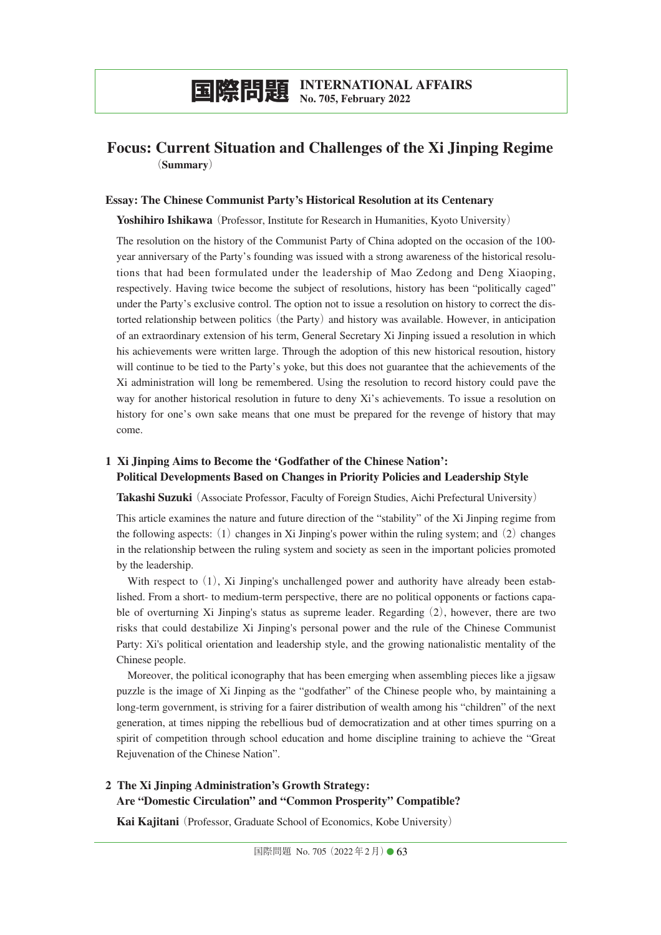# **国際問題 INTERNATIONAL AFFAIRS No. 705, February 2022**

# **Focus: Current Situation and Challenges of the Xi Jinping Regime** (**Summary**)

### **Essay: The Chinese Communist Party's Historical Resolution at its Centenary**

**Yoshihiro Ishikawa** (Professor, Institute for Research in Humanities, Kyoto University)

The resolution on the history of the Communist Party of China adopted on the occasion of the 100 year anniversary of the Party's founding was issued with a strong awareness of the historical resolutions that had been formulated under the leadership of Mao Zedong and Deng Xiaoping, respectively. Having twice become the subject of resolutions, history has been "politically caged" under the Party's exclusive control. The option not to issue a resolution on history to correct the distorted relationship between politics (the Party) and history was available. However, in anticipation of an extraordinary extension of his term, General Secretary Xi Jinping issued a resolution in which his achievements were written large. Through the adoption of this new historical resoution, history will continue to be tied to the Party's yoke, but this does not guarantee that the achievements of the Xi administration will long be remembered. Using the resolution to record history could pave the way for another historical resolution in future to deny Xi's achievements. To issue a resolution on history for one's own sake means that one must be prepared for the revenge of history that may come.

### **1 Xi Jinping Aims to Become the 'Godfather of the Chinese Nation': Political Developments Based on Changes in Priority Policies and Leadership Style**

**Takashi Suzuki**(Associate Professor, Faculty of Foreign Studies, Aichi Prefectural University)

This article examines the nature and future direction of the "stability" of the Xi Jinping regime from the following aspects:  $(1)$  changes in Xi Jinping's power within the ruling system; and  $(2)$  changes in the relationship between the ruling system and society as seen in the important policies promoted by the leadership.

With respect to  $(1)$ , Xi Jinping's unchallenged power and authority have already been established. From a short- to medium-term perspective, there are no political opponents or factions capable of overturning Xi Jinping's status as supreme leader. Regarding(2), however, there are two risks that could destabilize Xi Jinping's personal power and the rule of the Chinese Communist Party: Xi's political orientation and leadership style, and the growing nationalistic mentality of the Chinese people.

Moreover, the political iconography that has been emerging when assembling pieces like a jigsaw puzzle is the image of Xi Jinping as the "godfather" of the Chinese people who, by maintaining a long-term government, is striving for a fairer distribution of wealth among his "children" of the next generation, at times nipping the rebellious bud of democratization and at other times spurring on a spirit of competition through school education and home discipline training to achieve the "Great Rejuvenation of the Chinese Nation".

### **2 The Xi Jinping Administration's Growth Strategy: Are "Domestic Circulation" and "Common Prosperity" Compatible?**

**Kai Kajitani**(Professor, Graduate School of Economics, Kobe University)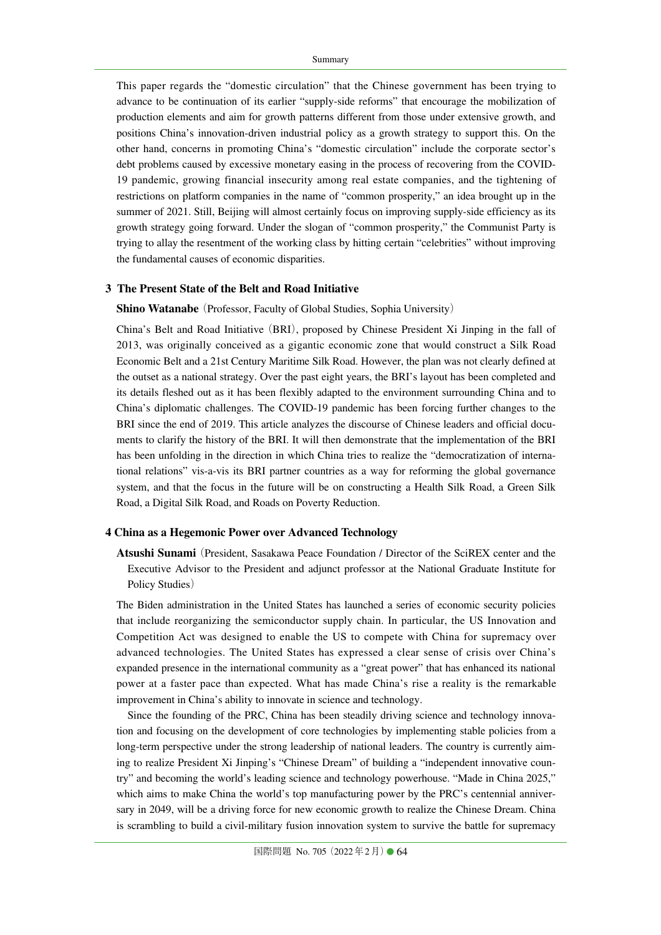This paper regards the "domestic circulation" that the Chinese government has been trying to advance to be continuation of its earlier "supply-side reforms" that encourage the mobilization of production elements and aim for growth patterns different from those under extensive growth, and positions China's innovation-driven industrial policy as a growth strategy to support this. On the other hand, concerns in promoting China's "domestic circulation" include the corporate sector's debt problems caused by excessive monetary easing in the process of recovering from the COVID-19 pandemic, growing financial insecurity among real estate companies, and the tightening of restrictions on platform companies in the name of "common prosperity," an idea brought up in the summer of 2021. Still, Beijing will almost certainly focus on improving supply-side efficiency as its growth strategy going forward. Under the slogan of "common prosperity," the Communist Party is trying to allay the resentment of the working class by hitting certain "celebrities" without improving the fundamental causes of economic disparities.

### **3 The Present State of the Belt and Road Initiative**

### **Shino Watanabe** (Professor, Faculty of Global Studies, Sophia University)

China's Belt and Road Initiative(BRI), proposed by Chinese President Xi Jinping in the fall of 2013, was originally conceived as a gigantic economic zone that would construct a Silk Road Economic Belt and a 21st Century Maritime Silk Road. However, the plan was not clearly defined at the outset as a national strategy. Over the past eight years, the BRI's layout has been completed and its details fleshed out as it has been flexibly adapted to the environment surrounding China and to China's diplomatic challenges. The COVID-19 pandemic has been forcing further changes to the BRI since the end of 2019. This article analyzes the discourse of Chinese leaders and official documents to clarify the history of the BRI. It will then demonstrate that the implementation of the BRI has been unfolding in the direction in which China tries to realize the "democratization of international relations" vis-a-vis its BRI partner countries as a way for reforming the global governance system, and that the focus in the future will be on constructing a Health Silk Road, a Green Silk Road, a Digital Silk Road, and Roads on Poverty Reduction.

#### **4 China as a Hegemonic Power over Advanced Technology**

**Atsushi Sunami**(President, Sasakawa Peace Foundation / Director of the SciREX center and the Executive Advisor to the President and adjunct professor at the National Graduate Institute for Policy Studies)

The Biden administration in the United States has launched a series of economic security policies that include reorganizing the semiconductor supply chain. In particular, the US Innovation and Competition Act was designed to enable the US to compete with China for supremacy over advanced technologies. The United States has expressed a clear sense of crisis over China's expanded presence in the international community as a "great power" that has enhanced its national power at a faster pace than expected. What has made China's rise a reality is the remarkable improvement in China's ability to innovate in science and technology.

Since the founding of the PRC, China has been steadily driving science and technology innovation and focusing on the development of core technologies by implementing stable policies from a long-term perspective under the strong leadership of national leaders. The country is currently aiming to realize President Xi Jinping's "Chinese Dream" of building a "independent innovative country" and becoming the world's leading science and technology powerhouse. "Made in China 2025," which aims to make China the world's top manufacturing power by the PRC's centennial anniversary in 2049, will be a driving force for new economic growth to realize the Chinese Dream. China is scrambling to build a civil-military fusion innovation system to survive the battle for supremacy